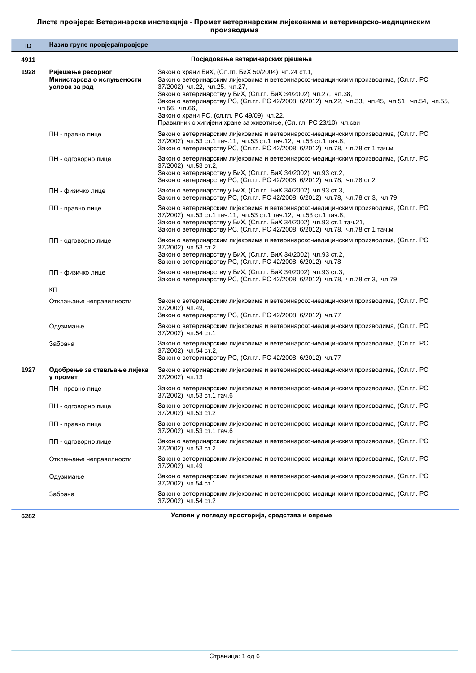## Листа провјера: Ветеринарска инспекција - Промет ветеринарским лијековима и ветеринарско-медицинским производима

| ID   | Назив групе провјера/провјере                                   |                                                                                                                                                                                                                                                                                                                                                                                                                                                                                       |
|------|-----------------------------------------------------------------|---------------------------------------------------------------------------------------------------------------------------------------------------------------------------------------------------------------------------------------------------------------------------------------------------------------------------------------------------------------------------------------------------------------------------------------------------------------------------------------|
| 4911 |                                                                 | Посједовање ветеринарских рјешења                                                                                                                                                                                                                                                                                                                                                                                                                                                     |
| 1928 | Ријешење ресорног<br>Министарсва о испуњености<br>услова за рад | Закон о храни БиХ, (Сл.гл. БиХ 50/2004) чл.24 ст.1,<br>Закон о ветеринарским лијековима и ветеринарско-медицинским производима, (Сл.гл. РС<br>37/2002) чл.22, чл.25, чл.27,<br>Закон о ветеринарству у БиХ, (Сл.гл. БиХ 34/2002) чл.27, чл.38,<br>Закон о ветеринарству РС, (Сл.гл. РС 42/2008, 6/2012) чл.22, чл.33, чл.45, чл.51, чл.54, чл.55,<br>чл.56, чл.66,<br>Закон о храни РС, (сл.гл. РС 49/09) чл.22,<br>Правилник о хигијени хране за животиње, (Сл. гл. РС 23/10) чл.сви |
|      | ПН - правно лице                                                | Закон о ветеринарским лијековима и ветеринарско-медицинским производима, (Сл.гл. РС<br>37/2002) чл.53 ст.1 тач.11, чл.53 ст.1 тач.12, чл.53 ст.1 тач.8,<br>Закон о ветеринарству РС, (Сл.гл. РС 42/2008, 6/2012) чл.78, чл.78 ст.1 тач.м                                                                                                                                                                                                                                              |
|      | ПН - одговорно лице                                             | Закон о ветеринарским лијековима и ветеринарско-медицинским производима, (Сл.гл. РС<br>37/2002) чл.53 ст.2,<br>Закон о ветеринарству у БиХ, (Сл.гл. БиХ 34/2002) чл.93 ст.2,<br>Закон о ветеринарству РС, (Сл.гл. РС 42/2008, 6/2012) чл.78, чл.78 ст.2                                                                                                                                                                                                                               |
|      | ПН - физичко лице                                               | Закон о ветеринарству у БиХ, (Сл.гл. БиХ 34/2002) чл.93 ст.3,<br>Закон о ветеринарству РС, (Сл.гл. РС 42/2008, 6/2012) чл.78, чл.78 ст.3, чл.79                                                                                                                                                                                                                                                                                                                                       |
|      | ПП - правно лице                                                | Закон о ветеринарским лијековима и ветеринарско-медицинским производима, (Сл.гл. РС<br>37/2002) чл.53 ст.1 тач.11, чл.53 ст.1 тач.12, чл.53 ст.1 тач.8,<br>Закон о ветеринарству у БиХ, (Сл.гл. БиХ 34/2002) чл.93 ст.1 тач.21,<br>Закон о ветеринарству РС, (Сл.гл. РС 42/2008, 6/2012) чл.78, чл.78 ст.1 тач.м                                                                                                                                                                      |
|      | ПП - одговорно лице                                             | Закон о ветеринарским лијековима и ветеринарско-медицинским производима, (Сл.гл. РС<br>37/2002) чл.53 ст.2,<br>Закон о ветеринарству у БиХ, (Сл.гл. БиХ 34/2002) чл.93 ст.2,<br>Закон о ветеринарству РС, (Сл.гл. РС 42/2008, 6/2012) чл.78                                                                                                                                                                                                                                           |
|      | ПП - физичко лице                                               | Закон о ветеринарству у БиХ, (Сл.гл. БиХ 34/2002) чл.93 ст.3,<br>Закон о ветеринарству РС, (Сл.гл. РС 42/2008, 6/2012) чл.78, чл.78 ст.3, чл.79                                                                                                                                                                                                                                                                                                                                       |
|      | КΠ                                                              |                                                                                                                                                                                                                                                                                                                                                                                                                                                                                       |
|      | Отклањање неправилности                                         | Закон о ветеринарским лијековима и ветеринарско-медицинским производима, (Сл.гл. РС<br>37/2002) чл.49,<br>Закон о ветеринарству РС, (Сл.гл. РС 42/2008, 6/2012) чл.77                                                                                                                                                                                                                                                                                                                 |
|      | Одузимање                                                       | Закон о ветеринарским лијековима и ветеринарско-медицинским производима, (Сл.гл. РС<br>37/2002) чл.54 ст.1                                                                                                                                                                                                                                                                                                                                                                            |
|      | Забрана                                                         | Закон о ветеринарским лијековима и ветеринарско-медицинским производима, (Сл.гл. РС<br>37/2002) чл.54 ст.2,<br>Закон о ветеринарству РС, (Сл.гл. РС 42/2008, 6/2012) чл.77                                                                                                                                                                                                                                                                                                            |
| 1927 | Одобрење за стављање лијека<br>у промет                         | Закон о ветеринарским лијековима и ветеринарско-медицинским производима, (Сл.гл. РС<br>37/2002) чл.13                                                                                                                                                                                                                                                                                                                                                                                 |
|      | ПН - правно лице                                                | Закон о ветеринарским лијековима и ветеринарско-медицинским производима, (Сл.гл. РС<br>37/2002) чл.53 ст.1 тач.6                                                                                                                                                                                                                                                                                                                                                                      |
|      | ПН - одговорно лице                                             | Закон о ветеринарским лијековима и ветеринарско-медицинским производима, (Сл.гл. РС<br>37/2002) чл.53 ст.2                                                                                                                                                                                                                                                                                                                                                                            |
|      | ПП - правно лице                                                | Закон о ветеринарским лијековима и ветеринарско-медицинским производима, (Сл.гл. РС<br>37/2002) чл.53 ст.1 тач.6                                                                                                                                                                                                                                                                                                                                                                      |
|      | ПП - одговорно лице                                             | Закон о ветеринарским лијековима и ветеринарско-медицинским производима, (Сл.гл. РС<br>37/2002) чл.53 ст.2                                                                                                                                                                                                                                                                                                                                                                            |
|      | Отклањање неправилности                                         | Закон о ветеринарским лијековима и ветеринарско-медицинским производима, (Сл.гл. РС<br>37/2002) чл.49                                                                                                                                                                                                                                                                                                                                                                                 |
|      | Одузимање                                                       | Закон о ветеринарским лијековима и ветеринарско-медицинским производима, (Сл.гл. РС<br>37/2002) чл.54 ст.1                                                                                                                                                                                                                                                                                                                                                                            |
|      | Забрана                                                         | Закон о ветеринарским лијековима и ветеринарско-медицинским производима, (Сл.гл. РС<br>37/2002) чл.54 ст.2                                                                                                                                                                                                                                                                                                                                                                            |

**6282 ɍɫɥɨɜɢɭɩɨɝɥɟɞɭɩɪɨɫɬɨɪɢʁɚ, ɫɪɟɞɫɬɚɜɚɢɨɩɪɟɦɟ**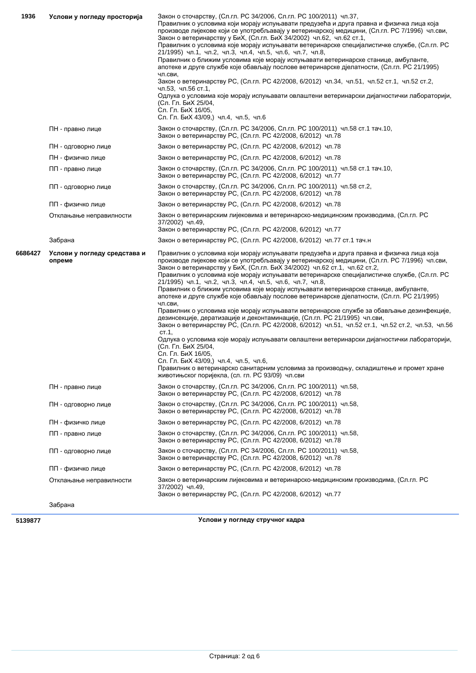| 1936    | Услови у погледу просторија            | Закон о сточарству, (Сл.гл. РС 34/2006, Сл.гл. РС 100/2011) чл.37,<br>Правилник о условима који морају испуњавати предузећа и друга правна и физичка лица која<br>производе лијекове који се употребљавају у ветеринарској медицини, (Сл.гл. РС 7/1996) чл.сви,<br>Закон о ветеринарству у БиХ, (Сл.гл. БиХ 34/2002) чл.62, чл.62 ст.1,<br>Правилник о условима које морају испуњавати ветеринарске специјалистичке службе, (Сл.гл. РС<br>21/1995) чл.1, чл.2, чл.3, чл.4, чл.5, чл.6, чл.7, чл.8,<br>Правилник о ближим условима које морају испуњавати ветеринарске станице, амбуланте,<br>апотеке и друге службе које обављају послове ветеринарске дјелатности, (Сл.гл. РС 21/1995)<br>ЧЛ.СВИ,<br>Закон о ветеринарству РС, (Сл.гл. РС 42/2008, 6/2012) чл.34, чл.51, чл.52 ст.1, чл.52 ст.2,<br>чл.53, чл.56 ст.1,<br>Одлука о условима које морају испуњавати овлаштени ветеринарски дијагностички лабораторији,<br>(Сл. Гл. БиХ 25/04,<br>Сл. Гл. БиХ 16/05,<br>Сл. Гл. БиХ 43/09,) чл.4, чл.5, чл.6                                                                                                                                                                                                                                                    |
|---------|----------------------------------------|----------------------------------------------------------------------------------------------------------------------------------------------------------------------------------------------------------------------------------------------------------------------------------------------------------------------------------------------------------------------------------------------------------------------------------------------------------------------------------------------------------------------------------------------------------------------------------------------------------------------------------------------------------------------------------------------------------------------------------------------------------------------------------------------------------------------------------------------------------------------------------------------------------------------------------------------------------------------------------------------------------------------------------------------------------------------------------------------------------------------------------------------------------------------------------------------------------------------------------------------------------------|
|         | ПН - правно лице                       | Закон о сточарству, (Сл.гл. РС 34/2006, Сл.гл. РС 100/2011) чл.58 ст.1 тач.10,<br>Закон о ветеринарству РС, (Сл.гл. РС 42/2008, 6/2012) чл.78                                                                                                                                                                                                                                                                                                                                                                                                                                                                                                                                                                                                                                                                                                                                                                                                                                                                                                                                                                                                                                                                                                                  |
|         | ПН - одговорно лице                    | Закон о ветеринарству РС, (Сл.гл. РС 42/2008, 6/2012) чл.78                                                                                                                                                                                                                                                                                                                                                                                                                                                                                                                                                                                                                                                                                                                                                                                                                                                                                                                                                                                                                                                                                                                                                                                                    |
|         | ПН - физичко лице                      | Закон о ветеринарству РС, (Сл.гл. РС 42/2008, 6/2012) чл.78                                                                                                                                                                                                                                                                                                                                                                                                                                                                                                                                                                                                                                                                                                                                                                                                                                                                                                                                                                                                                                                                                                                                                                                                    |
|         | ПП - правно лице                       | Закон о сточарству, (Сл.гл. РС 34/2006, Сл.гл. РС 100/2011) чл.58 ст.1 тач.10,<br>Закон о ветеринарству РС, (Сл.гл. РС 42/2008, 6/2012) чл.77                                                                                                                                                                                                                                                                                                                                                                                                                                                                                                                                                                                                                                                                                                                                                                                                                                                                                                                                                                                                                                                                                                                  |
|         | ПП - одговорно лице                    | Закон о сточарству, (Сл.гл. РС 34/2006, Сл.гл. РС 100/2011) чл.58 ст.2,<br>Закон о ветеринарству РС, (Сл.гл. РС 42/2008, 6/2012) чл.78                                                                                                                                                                                                                                                                                                                                                                                                                                                                                                                                                                                                                                                                                                                                                                                                                                                                                                                                                                                                                                                                                                                         |
|         | ПП - физичко лице                      | Закон о ветеринарству РС, (Сл.гл. РС 42/2008, 6/2012) чл.78                                                                                                                                                                                                                                                                                                                                                                                                                                                                                                                                                                                                                                                                                                                                                                                                                                                                                                                                                                                                                                                                                                                                                                                                    |
|         | Отклањање неправилности                | Закон о ветеринарским лијековима и ветеринарско-медицинским производима, (Сл.гл. РС<br>37/2002) чл.49.<br>Закон о ветеринарству РС, (Сл.гл. РС 42/2008, 6/2012) чл.77                                                                                                                                                                                                                                                                                                                                                                                                                                                                                                                                                                                                                                                                                                                                                                                                                                                                                                                                                                                                                                                                                          |
|         | Забрана                                | Закон о ветеринарству РС, (Сл.гл. РС 42/2008, 6/2012) чл.77 ст.1 тач.н                                                                                                                                                                                                                                                                                                                                                                                                                                                                                                                                                                                                                                                                                                                                                                                                                                                                                                                                                                                                                                                                                                                                                                                         |
| 6686427 | Услови у погледу средстава и<br>опреме | Правилник о условима који морају испуњавати предузећа и друга правна и физичка лица која<br>производе лијекове који се употребљавају у ветеринарској медицини, (Сл.гл. РС 7/1996) чл.сви,<br>Закон о ветеринарству у БиХ, (Сл.гл. БиХ 34/2002) чл.62 ст.1, чл.62 ст.2,<br>Правилник о условима које морају испуњавати ветеринарске специјалистичке службе, (Сл.гл. РС<br>21/1995) чл.1, чл.2, чл.3, чл.4, чл.5, чл.6, чл.7, чл.8,<br>Правилник о ближим условима које морају испуњавати ветеринарске станице, амбуланте,<br>апотеке и друге службе које обављају послове ветеринарске дјелатности, (Сл.гл. РС 21/1995)<br>ЧЛ.СВИ,<br>Правилник о условима које морају испуњавати ветеринарске службе за обављање дезинфекције,<br>дезинсекције, дератизације и деконтаминације, (Сл.гл. РС 21/1995) чл.сви,<br>Закон о ветеринарству РС, (Сл.гл. РС 42/2008, 6/2012) чл.51, чл.52 ст.1, чл.52 ст.2, чл.53, чл.56<br>CT.1,<br>Одлука о условима које морају испуњавати овлаштени ветеринарски дијагностички лабораторији,<br>(Сл. Гл. БиХ 25/04,<br>Сл. Гл. БиХ 16/05,<br>Сл. Гл. БиХ 43/09,) чл.4, чл.5, чл.6,<br>I Iравилник о ветеринарско санитарним условима за производњу, складиштење и промет хране<br>животињског поријекла, (сл. гл. РС 93/09) чл.сви |
|         | ПН - правно лице                       | Закон о сточарству, (Сл.гл. РС 34/2006, Сл.гл. РС 100/2011) чл.58,<br>Закон о ветеринарству РС, (Сл.гл. РС 42/2008, 6/2012) чл.78                                                                                                                                                                                                                                                                                                                                                                                                                                                                                                                                                                                                                                                                                                                                                                                                                                                                                                                                                                                                                                                                                                                              |
|         | ПН - одговорно лице                    | Закон о сточарству, (Сл.гл. РС 34/2006, Сл.гл. РС 100/2011) чл.58,<br>Закон о ветеринарству РС, (Сл.гл. РС 42/2008, 6/2012) чл.78                                                                                                                                                                                                                                                                                                                                                                                                                                                                                                                                                                                                                                                                                                                                                                                                                                                                                                                                                                                                                                                                                                                              |
|         | ПН - физичко лице                      | Закон о ветеринарству РС, (Сл.гл. РС 42/2008, 6/2012) чл.78                                                                                                                                                                                                                                                                                                                                                                                                                                                                                                                                                                                                                                                                                                                                                                                                                                                                                                                                                                                                                                                                                                                                                                                                    |
|         | ПП - правно лице                       | Закон о сточарству, (Сл.гл. РС 34/2006, Сл.гл. РС 100/2011) чл.58,<br>Закон о ветеринарству РС, (Сл.гл. РС 42/2008, 6/2012) чл.78                                                                                                                                                                                                                                                                                                                                                                                                                                                                                                                                                                                                                                                                                                                                                                                                                                                                                                                                                                                                                                                                                                                              |
|         | ПП - одговорно лице                    | Закон о сточарству, (Сл.гл. РС 34/2006, Сл.гл. РС 100/2011) чл.58,<br>Закон о ветеринарству РС, (Сл.гл. РС 42/2008, 6/2012) чл.78                                                                                                                                                                                                                                                                                                                                                                                                                                                                                                                                                                                                                                                                                                                                                                                                                                                                                                                                                                                                                                                                                                                              |
|         | ПП - физичко лице                      | Закон о ветеринарству РС, (Сл.гл. РС 42/2008, 6/2012) чл.78                                                                                                                                                                                                                                                                                                                                                                                                                                                                                                                                                                                                                                                                                                                                                                                                                                                                                                                                                                                                                                                                                                                                                                                                    |
|         | Отклањање неправилности                | Закон о ветеринарским лијековима и ветеринарско-медицинским производима, (Сл.гл. РС<br>37/2002) чл.49,<br>Закон о ветеринарству РС, (Сл.гл. РС 42/2008, 6/2012) чл.77                                                                                                                                                                                                                                                                                                                                                                                                                                                                                                                                                                                                                                                                                                                                                                                                                                                                                                                                                                                                                                                                                          |
|         | Забрана                                |                                                                                                                                                                                                                                                                                                                                                                                                                                                                                                                                                                                                                                                                                                                                                                                                                                                                                                                                                                                                                                                                                                                                                                                                                                                                |

**5139877 МАНИМА ВИЗИРНО В ТЕМА В 139877 И 120 ИЛИМА В 139877 И 120 ИЛИМА В 13987**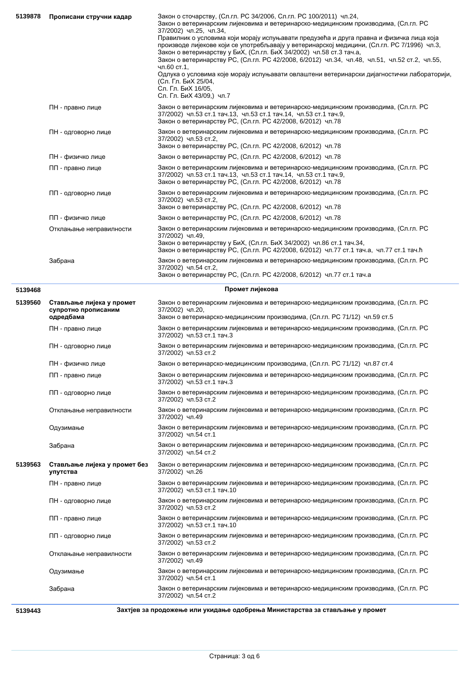| 5139878 | Прописани стручни кадар                         | Закон о сточарству, (Сл.гл. РС 34/2006, Сл.гл. РС 100/2011) чл.24,<br>Закон о ветеринарским лијековима и ветеринарско-медицинским производима, (Сл.гл. РС<br>37/2002) чл.25, чл.34,<br>Правилник о условима који морају испуњавати предузећа и друга правна и физичка лица која<br>производе лијекове који се употребљавају у ветеринарској медицини, (Сл.гл. РС 7/1996) чл.3, |
|---------|-------------------------------------------------|--------------------------------------------------------------------------------------------------------------------------------------------------------------------------------------------------------------------------------------------------------------------------------------------------------------------------------------------------------------------------------|
|         |                                                 | Закон о ветеринарству у БиХ, (Сл.гл. БиХ 34/2002) чл.58 ст.3 тач.а,<br>Закон о ветеринарству РС, (Сл.гл. РС 42/2008, 6/2012) чл.34, чл.48, чл.51, чл.52 ст.2, чл.55,<br>чл.60 ст.1,<br>Одлука о условима које морају испуњавати овлаштени ветеринарски дијагностички лабораторији,<br>(Сл. Гл. БиХ 25/04,                                                                      |
|         |                                                 | Сл. Гл. БиХ 16/05,<br>Сл. Гл. БиХ 43/09,) чл.7                                                                                                                                                                                                                                                                                                                                 |
|         | ПН - правно лице                                | Закон о ветеринарским лијековима и ветеринарско-медицинским производима, (Сл.гл. РС<br>37/2002) чл.53 ст.1 тач.13, чл.53 ст.1 тач.14, чл.53 ст.1 тач.9,<br>Закон о ветеринарству РС, (Сл.гл. РС 42/2008, 6/2012) чл.78                                                                                                                                                         |
|         | ПН - одговорно лице                             | Закон о ветеринарским лијековима и ветеринарско-медицинским производима, (Сл.гл. РС<br>37/2002) чл.53 ст.2,<br>Закон о ветеринарству РС, (Сл.гл. РС 42/2008, 6/2012) чл.78                                                                                                                                                                                                     |
|         | ПН - физичко лице                               | Закон о ветеринарству РС, (Сл.гл. РС 42/2008, 6/2012) чл.78                                                                                                                                                                                                                                                                                                                    |
|         | ПП - правно лице                                | Закон о ветеринарским лијековима и ветеринарско-медицинским производима, (Сл.гл. РС<br>37/2002) чл.53 ст.1 тач.13, чл.53 ст.1 тач.14, чл.53 ст.1 тач.9,<br>Закон о ветеринарству РС, (Сл.гл. РС 42/2008, 6/2012) чл.78                                                                                                                                                         |
|         | ПП - одговорно лице                             | Закон о ветеринарским лијековима и ветеринарско-медицинским производима, (Сл.гл. РС<br>37/2002) чл.53 ст.2,                                                                                                                                                                                                                                                                    |
|         |                                                 | Закон о ветеринарству РС, (Сл.гл. РС 42/2008, 6/2012) чл.78                                                                                                                                                                                                                                                                                                                    |
|         | ПП - физичко лице                               | Закон о ветеринарству РС, (Сл.гл. РС 42/2008, 6/2012) чл.78<br>Закон о ветеринарским лијековима и ветеринарско-медицинским производима, (Сл.гл. РС                                                                                                                                                                                                                             |
|         | Отклањање неправилности                         | 37/2002) чл.49,<br>Закон о ветеринарству у БиХ, (Сл.гл. БиХ 34/2002) чл.86 ст.1 тач.34,                                                                                                                                                                                                                                                                                        |
|         |                                                 | Закон о ветеринарству РС, (Сл.гл. РС 42/2008, 6/2012) чл.77 ст.1 тач.а, чл.77 ст.1 тач.ћ<br>Закон о ветеринарским лијековима и ветеринарско-медицинским производима, (Сл.гл. РС                                                                                                                                                                                                |
|         | Забрана                                         | 37/2002) чл.54 ст.2,<br>Закон о ветеринарству РС, (Сл.гл. РС 42/2008, 6/2012) чл.77 ст.1 тач.а                                                                                                                                                                                                                                                                                 |
| 5139468 |                                                 | Промет лијекова                                                                                                                                                                                                                                                                                                                                                                |
| 5139560 | Стављање лијека у промет<br>супротно прописаним | Закон о ветеринарским лијековима и ветеринарско-медицинским производима, (Сл.гл. РС<br>37/2002) чл.20,                                                                                                                                                                                                                                                                         |
|         | одредбама                                       | Закон о ветеринарско-медицинским производима, (Сл.гл. РС 71/12) чл.59 ст.5                                                                                                                                                                                                                                                                                                     |
|         | ПН - правно лице                                | Закон о ветеринарским лијековима и ветеринарско-медицинским производима, (Сл.гл. РС<br>37/2002) чл.53 ст.1 тач.3                                                                                                                                                                                                                                                               |
|         | ПН - одговорно лице                             | Закон о ветеринарским лијековима и ветеринарско-медицинским производима, (Сл.гл. РС<br>37/2002) чл.53 ст.2                                                                                                                                                                                                                                                                     |
|         | ПН - физичко лице                               | Закон о ветеринарско-медицинским производима, (Сл.гл. РС 71/12) чл.87 ст.4                                                                                                                                                                                                                                                                                                     |
|         | ПП - правно лице                                | Закон о ветеринарским лијековима и ветеринарско-медицинским производима, (Сл.гл. РС<br>37/2002) чл.53 ст.1 тач.3                                                                                                                                                                                                                                                               |
|         | ПП - одговорно лице                             | Закон о ветеринарским лијековима и ветеринарско-медицинским производима, (Сл.гл. РС<br>37/2002) чл.53 ст.2                                                                                                                                                                                                                                                                     |
|         | Отклањање неправилности                         | Закон о ветеринарским лијековима и ветеринарско-медицинским производима, (Сл.гл. РС<br>37/2002) чл.49                                                                                                                                                                                                                                                                          |
|         | Одузимање                                       | Закон о ветеринарским лијековима и ветеринарско-медицинским производима, (Сл.гл. РС<br>37/2002) чл.54 ст.1                                                                                                                                                                                                                                                                     |
|         | Забрана                                         | Закон о ветеринарским лијековима и ветеринарско-медицинским производима, (Сл.гл. РС<br>37/2002) чл.54 ст.2                                                                                                                                                                                                                                                                     |
| 5139563 | Стављање лијека у промет без<br>упутства        | Закон о ветеринарским лијековима и ветеринарско-медицинским производима, (Сл.гл. РС<br>37/2002) чл.26                                                                                                                                                                                                                                                                          |
|         | ПН - правно лице                                | Закон о ветеринарским лијековима и ветеринарско-медицинским производима, (Сл.гл. РС<br>37/2002) чл.53 ст.1 тач.10                                                                                                                                                                                                                                                              |
|         | ПН - одговорно лице                             | Закон о ветеринарским лијековима и ветеринарско-медицинским производима, (Сл.гл. РС<br>37/2002) чл.53 ст.2                                                                                                                                                                                                                                                                     |
|         | ПП - правно лице                                | Закон о ветеринарским лијековима и ветеринарско-медицинским производима, (Сл.гл. РС<br>37/2002) чл.53 ст.1 тач.10                                                                                                                                                                                                                                                              |
|         | ПП - одговорно лице                             | Закон о ветеринарским лијековима и ветеринарско-медицинским производима, (Сл.гл. РС<br>37/2002) чл.53 ст.2                                                                                                                                                                                                                                                                     |
|         | Отклањање неправилности                         | Закон о ветеринарским лијековима и ветеринарско-медицинским производима, (Сл.гл. РС<br>37/2002) чл.49                                                                                                                                                                                                                                                                          |
|         | Одузимање                                       | Закон о ветеринарским лијековима и ветеринарско-медицинским производима, (Сл.гл. РС<br>37/2002) чл.54 ст.1                                                                                                                                                                                                                                                                     |
|         | Забрана                                         | Закон о ветеринарским лијековима и ветеринарско-медицинским производима, (Сл.гл. РС<br>37/2002) чл.54 ст.2                                                                                                                                                                                                                                                                     |
| 5139443 |                                                 | Захтјев за продожење или укидање одобрења Министарства за стављање у промет                                                                                                                                                                                                                                                                                                    |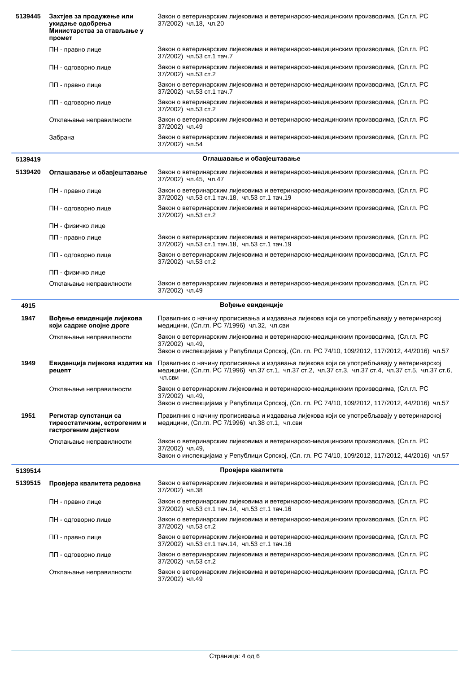| 5139445 | Захтјев за продужење или<br>укидање одобрења<br>Министарства за стављање у<br>промет | Закон о ветеринарским лијековима и ветеринарско-медицинским производима, (Сл.гл. РС<br>37/2002) чл.18, чл.20                                                                                               |
|---------|--------------------------------------------------------------------------------------|------------------------------------------------------------------------------------------------------------------------------------------------------------------------------------------------------------|
|         | ПН - правно лице                                                                     | Закон о ветеринарским лијековима и ветеринарско-медицинским производима, (Сл.гл. РС<br>37/2002) чл.53 ст.1 тач.7                                                                                           |
|         | ПН - одговорно лице                                                                  | Закон о ветеринарским лијековима и ветеринарско-медицинским производима, (Сл.гл. РС<br>37/2002) чл.53 ст.2                                                                                                 |
|         | ПП - правно лице                                                                     | Закон о ветеринарским лијековима и ветеринарско-медицинским производима, (Сл.гл. РС<br>37/2002) чл.53 ст.1 тач.7                                                                                           |
|         | ПП - одговорно лице                                                                  | Закон о ветеринарским лијековима и ветеринарско-медицинским производима, (Сл.гл. РС<br>37/2002) чл.53 ст.2                                                                                                 |
|         | Отклањање неправилности                                                              | Закон о ветеринарским лијековима и ветеринарско-медицинским производима, (Сл.гл. РС<br>37/2002) чл.49                                                                                                      |
|         | Забрана                                                                              | Закон о ветеринарским лијековима и ветеринарско-медицинским производима, (Сл.гл. РС<br>37/2002) чл.54                                                                                                      |
| 5139419 |                                                                                      | Оглашавање и обавјештавање                                                                                                                                                                                 |
| 5139420 | Оглашавање и обавјештавање                                                           | Закон о ветеринарским лијековима и ветеринарско-медицинским производима, (Сл.гл. РС<br>37/2002) чл.45, чл.47                                                                                               |
|         | ПН - правно лице                                                                     | Закон о ветеринарским лијековима и ветеринарско-медицинским производима, (Сл.гл. РС<br>37/2002) чл.53 ст.1 тач.18, чл.53 ст.1 тач.19                                                                       |
|         | ПН - одговорно лице                                                                  | Закон о ветеринарским лијековима и ветеринарско-медицинским производима, (Сл.гл. РС<br>37/2002) чл.53 ст.2                                                                                                 |
|         | ПН - физичко лице                                                                    |                                                                                                                                                                                                            |
|         | ПП - правно лице                                                                     | Закон о ветеринарским лијековима и ветеринарско-медицинским производима, (Сл.гл. РС<br>37/2002) чл.53 ст.1 тач.18, чл.53 ст.1 тач.19                                                                       |
|         | ПП - одговорно лице                                                                  | Закон о ветеринарским лијековима и ветеринарско-медицинским производима, (Сл.гл. РС<br>37/2002) чл.53 ст.2                                                                                                 |
|         | ПП - физичко лице                                                                    |                                                                                                                                                                                                            |
|         | Отклањање неправилности                                                              | Закон о ветеринарским лијековима и ветеринарско-медицинским производима, (Сл.гл. РС<br>37/2002) чл.49                                                                                                      |
|         |                                                                                      |                                                                                                                                                                                                            |
| 4915    |                                                                                      | Вођење евиденције                                                                                                                                                                                          |
| 1947    | Вођење евиденције лијекова<br>који садрже опојне дроге                               | Правилник о начину прописивања и издавања лијекова који се употребљавају у ветеринарској<br>медицини, (Сл.гл. РС 7/1996) чл.32, чл.сви                                                                     |
|         | Отклањање неправилности                                                              | Закон о ветеринарским лијековима и ветеринарско-медицинским производима, (Сл.гл. РС<br>37/2002) чл.49,<br>Закон о инспекцијама у Републици Српској, (Сл. гл. РС 74/10, 109/2012, 117/2012, 44/2016) чл.57  |
| 1949    | Евиденција лијекова издатих на<br>рецепт                                             | Правилник о начину прописивања и издавања лијекова који се употребљавају у ветеринарској<br>медицини, (Сл.гл. РС 7/1996) чл.37 ст.1, чл.37 ст.2, чл.37 ст.3, чл.37 ст.4, чл.37 ст.5, чл.37 ст.6,<br>чл.сви |
|         | Отклањање неправилности                                                              | Закон о ветеринарским лијековима и ветеринарско-медицинским производима, (Сл.гл. РС<br>37/2002) чл.49,                                                                                                     |
|         |                                                                                      | Закон о инспекцијама у Републици Српској, (Сл. гл. РС 74/10, 109/2012, 117/2012, 44/2016) чл.57                                                                                                            |
| 1951    | Регистар супстанци са<br>тиреостатичким, естрогеним и<br>гастрогеним дејством        | Правилник о начину прописивања и издавања лијекова који се употребљавају у ветеринарској<br>медицини, (Сл.гл. РС 7/1996) чл.38 ст.1, чл.сви                                                                |
|         | Отклањање неправилности                                                              | Закон о ветеринарским лијековима и ветеринарско-медицинским производима, (Сл.гл. РС<br>37/2002) чл.49,                                                                                                     |
|         |                                                                                      | Закон о инспекцијама у Републици Српској, (Сл. гл. РС 74/10, 109/2012, 117/2012, 44/2016) чл.57                                                                                                            |
| 5139514 |                                                                                      | Провјера квалитета                                                                                                                                                                                         |
| 5139515 | Провјера квалитета редовна                                                           | Закон о ветеринарским лијековима и ветеринарско-медицинским производима, (Сл.гл. РС<br>37/2002) чл.38                                                                                                      |
|         | ПН - правно лице                                                                     | Закон о ветеринарским лијековима и ветеринарско-медицинским производима, (Сл.гл. РС<br>37/2002) чл.53 ст.1 тач.14, чл.53 ст.1 тач.16                                                                       |
|         | ПН - одговорно лице                                                                  | Закон о ветеринарским лијековима и ветеринарско-медицинским производима, (Сл.гл. РС<br>37/2002) чл.53 ст.2                                                                                                 |
|         | ПП - правно лице                                                                     | Закон о ветеринарским лијековима и ветеринарско-медицинским производима, (Сл.гл. РС<br>37/2002) чл.53 ст.1 тач.14, чл.53 ст.1 тач.16                                                                       |
|         | ПП - одговорно лице<br>Отклањање неправилности                                       | Закон о ветеринарским лијековима и ветеринарско-медицинским производима, (Сл.гл. РС<br>37/2002) чл.53 ст.2<br>Закон о ветеринарским лијековима и ветеринарско-медицинским производима, (Сл.гл. РС          |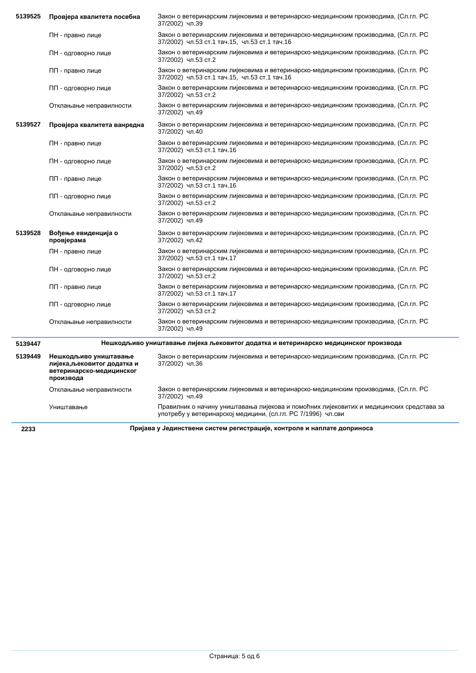| 5139525 | Провјера квалитета посебна                                                                    | Закон о ветеринарским лијековима и ветеринарско-медицинским производима, (Сл.гл. РС<br>37/2002) чл.39                                                    |
|---------|-----------------------------------------------------------------------------------------------|----------------------------------------------------------------------------------------------------------------------------------------------------------|
|         | ПН - правно лице                                                                              | Закон о ветеринарским лијековима и ветеринарско-медицинским производима, (Сл.гл. РС<br>37/2002) чл.53 ст.1 тач.15, чл.53 ст.1 тач.16                     |
|         | ПН - одговорно лице                                                                           | Закон о ветеринарским лијековима и ветеринарско-медицинским производима, (Сл.гл. РС<br>37/2002) чл.53 ст.2                                               |
|         | ПП - правно лице                                                                              | Закон о ветеринарским лијековима и ветеринарско-медицинским производима, (Сл.гл. РС<br>37/2002) чл.53 ст.1 тач.15, чл.53 ст.1 тач.16                     |
|         | ПП - одговорно лице                                                                           | Закон о ветеринарским лијековима и ветеринарско-медицинским производима, (Сл.гл. РС<br>37/2002) чл.53 ст.2                                               |
|         | Отклањање неправилности                                                                       | Закон о ветеринарским лијековима и ветеринарско-медицинским производима, (Сл.гл. РС<br>37/2002) чл.49                                                    |
| 5139527 | Провјера квалитета ванредна                                                                   | Закон о ветеринарским лијековима и ветеринарско-медицинским производима, (Сл.гл. РС<br>37/2002) чл.40                                                    |
|         | ПН - правно лице                                                                              | Закон о ветеринарским лијековима и ветеринарско-медицинским производима, (Сл.гл. РС<br>37/2002) чл.53 ст.1 тач.16                                        |
|         | ПН - одговорно лице                                                                           | Закон о ветеринарским лијековима и ветеринарско-медицинским производима, (Сл.гл. РС<br>37/2002) чл.53 ст.2                                               |
|         | ПП - правно лице                                                                              | Закон о ветеринарским лијековима и ветеринарско-медицинским производима, (Сл.гл. РС<br>37/2002) чл.53 ст.1 тач.16                                        |
|         | ПП - одговорно лице                                                                           | Закон о ветеринарским лијековима и ветеринарско-медицинским производима, (Сл.гл. РС<br>37/2002) чл.53 ст.2                                               |
|         | Отклањање неправилности                                                                       | Закон о ветеринарским лијековима и ветеринарско-медицинским производима, (Сл.гл. РС<br>37/2002) чл.49                                                    |
| 5139528 | Вођење евиденција о<br>провјерама                                                             | Закон о ветеринарским лијековима и ветеринарско-медицинским производима, (Сл.гл. РС<br>37/2002) чл.42                                                    |
|         | ПН - правно лице                                                                              | Закон о ветеринарским лијековима и ветеринарско-медицинским производима, (Сл.гл. РС<br>37/2002) чл.53 ст.1 тач.17                                        |
|         | ПН - одговорно лице                                                                           | Закон о ветеринарским лијековима и ветеринарско-медицинским производима, (Сл.гл. РС<br>37/2002) чл.53 ст.2                                               |
|         | ПП - правно лице                                                                              | Закон о ветеринарским лијековима и ветеринарско-медицинским производима, (Сл.гл. РС<br>37/2002) чл.53 ст.1 тач.17                                        |
|         | ПП - одговорно лице                                                                           | Закон о ветеринарским лијековима и ветеринарско-медицинским производима, (Сл.гл. РС<br>37/2002) чл.53 ст.2                                               |
|         | Отклањање неправилности                                                                       | Закон о ветеринарским лијековима и ветеринарско-медицинским производима, (Сл.гл. РС<br>37/2002) чл.49                                                    |
| 5139447 |                                                                                               | Нешкодљиво уништавање лијека љековитог додатка и ветеринарско медицинског производа                                                                      |
| 5139449 | Нешкодљиво уништавање<br>лијека, љековитог додатка и<br>ветеринарско-медицинског<br>производа | Закон о ветеринарским лијековима и ветеринарско-медицинским производима, (Сл.гл. РС<br>37/2002) чл.36                                                    |
|         | Отклањање неправилности                                                                       | Закон о ветеринарским лијековима и ветеринарско-медицинским производима, (Сл.гл. РС<br>37/2002) чл.49                                                    |
|         | Уништавање                                                                                    | Правилник о начину уништавања лијекова и помоћних лијековитих и медицинских средстава за<br>употребу у ветеринарској медицини, (сл.гл. РС 7/1996) чл.сви |
|         |                                                                                               |                                                                                                                                                          |

Í,

**2233 ИРИЈАВА У ЈЕДИНСТВЕНИ СИСТЕМ РЕГИСТРАЦИЈЕ, КОНТРОЛЕ И НАПЛАТЕ ДОПРИНОСА**